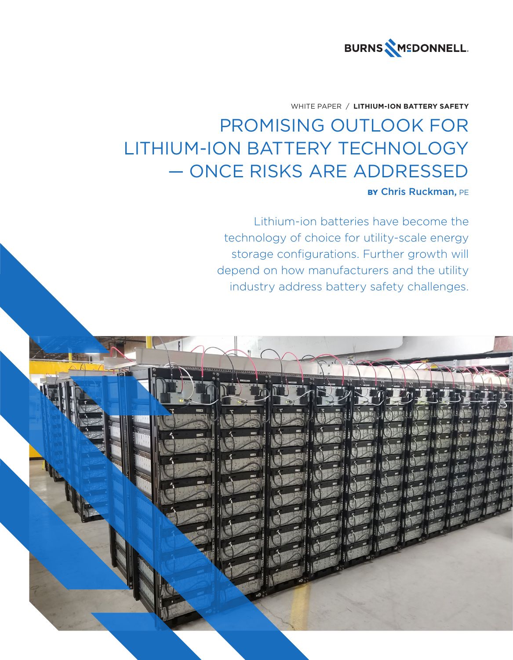

## WHITE PAPER / **LITHIUM-ION BATTERY SAFETY**

# PROMISING OUTLOOK FOR LITHIUM-ION BATTERY TECHNOLOGY — ONCE RISKS ARE ADDRESSED

# BY Chris Ruckman, PE

Lithium-ion batteries have become the technology of choice for utility-scale energy storage configurations. Further growth will depend on how manufacturers and the utility industry address battery safety challenges.

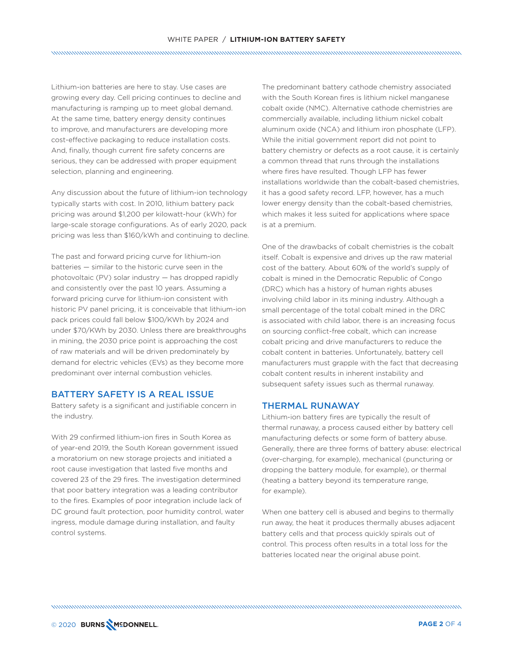## WHITE PAPER / **LITHIUM-ION BATTERY SAFETY**

Lithium-ion batteries are here to stay. Use cases are growing every day. Cell pricing continues to decline and manufacturing is ramping up to meet global demand. At the same time, battery energy density continues to improve, and manufacturers are developing more cost-effective packaging to reduce installation costs. And, finally, though current fire safety concerns are serious, they can be addressed with proper equipment selection, planning and engineering.

Any discussion about the future of lithium-ion technology typically starts with cost. In 2010, lithium battery pack pricing was around \$1,200 per kilowatt-hour (kWh) for large-scale storage configurations. As of early 2020, pack pricing was less than \$160/kWh and continuing to decline.

The past and forward pricing curve for lithium-ion batteries — similar to the historic curve seen in the photovoltaic (PV) solar industry — has dropped rapidly and consistently over the past 10 years. Assuming a forward pricing curve for lithium-ion consistent with historic PV panel pricing, it is conceivable that lithium-ion pack prices could fall below \$100/KWh by 2024 and under \$70/KWh by 2030. Unless there are breakthroughs in mining, the 2030 price point is approaching the cost of raw materials and will be driven predominately by demand for electric vehicles (EVs) as they become more predominant over internal combustion vehicles.

### BATTERY SAFETY IS A REAL ISSUE

Battery safety is a significant and justifiable concern in the industry.

With 29 confirmed lithium-ion fires in South Korea as of year-end 2019, the South Korean government issued a moratorium on new storage projects and initiated a root cause investigation that lasted five months and covered 23 of the 29 fires. The investigation determined that poor battery integration was a leading contributor to the fires. Examples of poor integration include lack of DC ground fault protection, poor humidity control, water ingress, module damage during installation, and faulty control systems.

The predominant battery cathode chemistry associated with the South Korean fires is lithium nickel manganese cobalt oxide (NMC). Alternative cathode chemistries are commercially available, including lithium nickel cobalt aluminum oxide (NCA) and lithium iron phosphate (LFP). While the initial government report did not point to battery chemistry or defects as a root cause, it is certainly a common thread that runs through the installations where fires have resulted. Though LFP has fewer installations worldwide than the cobalt-based chemistries, it has a good safety record. LFP, however, has a much lower energy density than the cobalt-based chemistries, which makes it less suited for applications where space is at a premium.

One of the drawbacks of cobalt chemistries is the cobalt itself. Cobalt is expensive and drives up the raw material cost of the battery. About 60% of the world's supply of cobalt is mined in the Democratic Republic of Congo (DRC) which has a history of human rights abuses involving child labor in its mining industry. Although a small percentage of the total cobalt mined in the DRC is associated with child labor, there is an increasing focus on sourcing conflict-free cobalt, which can increase cobalt pricing and drive manufacturers to reduce the cobalt content in batteries. Unfortunately, battery cell manufacturers must grapple with the fact that decreasing cobalt content results in inherent instability and subsequent safety issues such as thermal runaway.

### THERMAL RUNAWAY

Lithium-ion battery fires are typically the result of thermal runaway, a process caused either by battery cell manufacturing defects or some form of battery abuse. Generally, there are three forms of battery abuse: electrical (over-charging, for example), mechanical (puncturing or dropping the battery module, for example), or thermal (heating a battery beyond its temperature range, for example).

When one battery cell is abused and begins to thermally run away, the heat it produces thermally abuses adjacent battery cells and that process quickly spirals out of control. This process often results in a total loss for the batteries located near the original abuse point.

© 2020 **PAGE 2** OF 4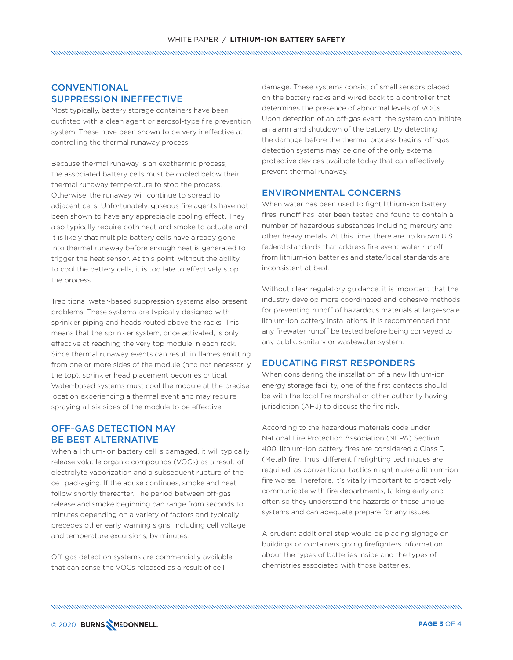## WHITE PAPER / **LITHIUM-ION BATTERY SAFETY**

# **CONVENTIONAL** SUPPRESSION INEFFECTIVE

Most typically, battery storage containers have been outfitted with a clean agent or aerosol-type fire prevention system. These have been shown to be very ineffective at controlling the thermal runaway process.

Because thermal runaway is an exothermic process, the associated battery cells must be cooled below their thermal runaway temperature to stop the process. Otherwise, the runaway will continue to spread to adjacent cells. Unfortunately, gaseous fire agents have not been shown to have any appreciable cooling effect. They also typically require both heat and smoke to actuate and it is likely that multiple battery cells have already gone into thermal runaway before enough heat is generated to trigger the heat sensor. At this point, without the ability to cool the battery cells, it is too late to effectively stop the process.

Traditional water-based suppression systems also present problems. These systems are typically designed with sprinkler piping and heads routed above the racks. This means that the sprinkler system, once activated, is only effective at reaching the very top module in each rack. Since thermal runaway events can result in flames emitting from one or more sides of the module (and not necessarily the top), sprinkler head placement becomes critical. Water-based systems must cool the module at the precise location experiencing a thermal event and may require spraying all six sides of the module to be effective.

## OFF-GAS DETECTION MAY BE BEST ALTERNATIVE

When a lithium-ion battery cell is damaged, it will typically release volatile organic compounds (VOCs) as a result of electrolyte vaporization and a subsequent rupture of the cell packaging. If the abuse continues, smoke and heat follow shortly thereafter. The period between off-gas release and smoke beginning can range from seconds to minutes depending on a variety of factors and typically precedes other early warning signs, including cell voltage and temperature excursions, by minutes.

Off-gas detection systems are commercially available that can sense the VOCs released as a result of cell

damage. These systems consist of small sensors placed on the battery racks and wired back to a controller that determines the presence of abnormal levels of VOCs. Upon detection of an off-gas event, the system can initiate an alarm and shutdown of the battery. By detecting the damage before the thermal process begins, off-gas detection systems may be one of the only external protective devices available today that can effectively prevent thermal runaway.

#### ENVIRONMENTAL CONCERNS

When water has been used to fight lithium-ion battery fires, runoff has later been tested and found to contain a number of hazardous substances including mercury and other heavy metals. At this time, there are no known U.S. federal standards that address fire event water runoff from lithium-ion batteries and state/local standards are inconsistent at best.

Without clear regulatory guidance, it is important that the industry develop more coordinated and cohesive methods for preventing runoff of hazardous materials at large-scale lithium-ion battery installations. It is recommended that any firewater runoff be tested before being conveyed to any public sanitary or wastewater system.

## EDUCATING FIRST RESPONDERS

When considering the installation of a new lithium-ion energy storage facility, one of the first contacts should be with the local fire marshal or other authority having jurisdiction (AHJ) to discuss the fire risk.

According to the hazardous materials code under National Fire Protection Association (NFPA) Section 400, lithium-ion battery fires are considered a Class D (Metal) fire. Thus, different firefighting techniques are required, as conventional tactics might make a lithium-ion fire worse. Therefore, it's vitally important to proactively communicate with fire departments, talking early and often so they understand the hazards of these unique systems and can adequate prepare for any issues.

A prudent additional step would be placing signage on buildings or containers giving firefighters information about the types of batteries inside and the types of chemistries associated with those batteries.

© 2020 **PAGE 3** OF 4